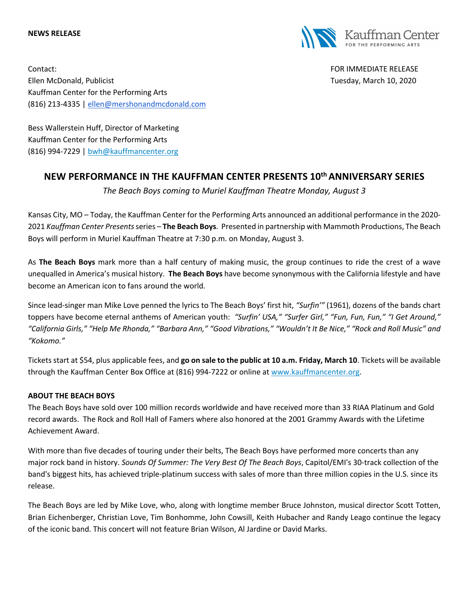#### **NEWS RELEASE**



Contact: FOR IMMEDIATE RELEASE Ellen McDonald, Publicist Tuesday, March 10, 2020 Kauffman Center for the Performing Arts (816) 213-4335 | ellen@mershonandmcdonald.com

Bess Wallerstein Huff, Director of Marketing Kauffman Center for the Performing Arts (816) 994-7229 | bwh@kauffmancenter.org

# **NEW PERFORMANCE IN THE KAUFFMAN CENTER PRESENTS 10th ANNIVERSARY SERIES**

*The Beach Boys coming to Muriel Kauffman Theatre Monday, August 3*

Kansas City, MO – Today, the Kauffman Center for the Performing Arts announced an additional performance in the 2020- 2021 *Kauffman Center Presents*series – **The Beach Boys**. Presented in partnership with Mammoth Productions, The Beach Boys will perform in Muriel Kauffman Theatre at 7:30 p.m. on Monday, August 3.

As **The Beach Boys** mark more than a half century of making music, the group continues to ride the crest of a wave unequalled in America's musical history. **The Beach Boys** have become synonymous with the California lifestyle and have become an American icon to fans around the world.

Since lead-singer man Mike Love penned the lyrics to The Beach Boys' first hit, *"Surfin'"* (1961), dozens of the bands chart toppers have become eternal anthems of American youth: *"Surfin' USA," "Surfer Girl," "Fun, Fun, Fun," "I Get Around," "California Girls," "Help Me Rhonda," "Barbara Ann," "Good Vibrations," "Wouldn't It Be Nice," "Rock and Roll Music" and "Kokomo."*

Tickets start at \$54, plus applicable fees, and **go on sale to the public at 10 a.m. Friday, March 10**. Tickets will be available through the Kauffman Center Box Office at (816) 994-7222 or online at www.kauffmancenter.org.

## **ABOUT THE BEACH BOYS**

The Beach Boys have sold over 100 million records worldwide and have received more than 33 RIAA Platinum and Gold record awards. The Rock and Roll Hall of Famers where also honored at the 2001 Grammy Awards with the Lifetime Achievement Award.

With more than five decades of touring under their belts, The Beach Boys have performed more concerts than any major rock band in history. *Sounds Of Summer: The Very Best Of The Beach Boys*, Capitol/EMI's 30-track collection of the band's biggest hits, has achieved triple-platinum success with sales of more than three million copies in the U.S. since its release.

The Beach Boys are led by Mike Love, who, along with longtime member Bruce Johnston, musical director Scott Totten, Brian Eichenberger, Christian Love, Tim Bonhomme, John Cowsill, Keith Hubacher and Randy Leago continue the legacy of the iconic band. This concert will not feature Brian Wilson, Al Jardine or David Marks.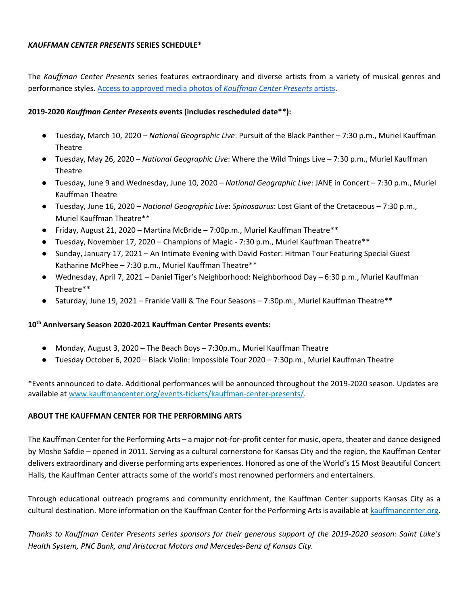#### *KAUFFMAN CENTER PRESENTS* **SERIES SCHEDULE\***

The *Kauffman Center Presents* series features extraordinary and diverse artists from a variety of musical genres and performance styles. Access to approved media photos of *Kauffman Center Presents* artists.

## **2019-2020** *Kauffman Center Presents* **events (includes rescheduled date\*\*):**

- Tuesday, March 10, 2020 *National Geographic Live*: Pursuit of the Black Panther 7:30 p.m., Muriel Kauffman Theatre
- Tuesday, May 26, 2020 *National Geographic Live*: Where the Wild Things Live 7:30 p.m., Muriel Kauffman Theatre
- Tuesday, June 9 and Wednesday, June 10, 2020 *National Geographic Live*: JANE in Concert 7:30 p.m., Muriel Kauffman Theatre
- Tuesday, June 16, 2020 *National Geographic Live*: *Spinosaurus*: Lost Giant of the Cretaceous 7:30 p.m., Muriel Kauffman Theatre\*\*
- Friday, August 21, 2020 Martina McBride 7:00p.m., Muriel Kauffman Theatre\*\*
- Tuesday, November 17, 2020 Champions of Magic 7:30 p.m., Muriel Kauffman Theatre\*\*
- Sunday, January 17, 2021 An Intimate Evening with David Foster: Hitman Tour Featuring Special Guest Katharine McPhee – 7:30 p.m., Muriel Kauffman Theatre\*\*
- Wednesday, April 7, 2021 Daniel Tiger's Neighborhood: Neighborhood Day 6:30 p.m., Muriel Kauffman Theatre\*\*
- Saturday, June 19, 2021 Frankie Valli & The Four Seasons 7:30p.m., Muriel Kauffman Theatre\*\*

### **10th Anniversary Season 2020-2021 Kauffman Center Presents events:**

- Monday, August 3, 2020 The Beach Boys 7:30p.m., Muriel Kauffman Theatre
- Tuesday October 6, 2020 Black Violin: Impossible Tour 2020 7:30p.m., Muriel Kauffman Theatre

\*Events announced to date. Additional performances will be announced throughout the 2019-2020 season. Updates are available at www.kauffmancenter.org/events-tickets/kauffman-center-presents/.

### **ABOUT THE KAUFFMAN CENTER FOR THE PERFORMING ARTS**

The Kauffman Center for the Performing Arts – a major not-for-profit center for music, opera, theater and dance designed by Moshe Safdie – opened in 2011. Serving as a cultural cornerstone for Kansas City and the region, the Kauffman Center delivers extraordinary and diverse performing arts experiences. Honored as one of the World's 15 Most Beautiful Concert Halls, the Kauffman Center attracts some of the world's most renowned performers and entertainers.

Through educational outreach programs and community enrichment, the Kauffman Center supports Kansas City as a cultural destination. More information on the Kauffman Center for the Performing Arts is available at kauffmancenter.org.

*Thanks to Kauffman Center Presents series sponsors for their generous support of the 2019-2020 season: Saint Luke's Health System, PNC Bank, and Aristocrat Motors and Mercedes-Benz of Kansas City.*